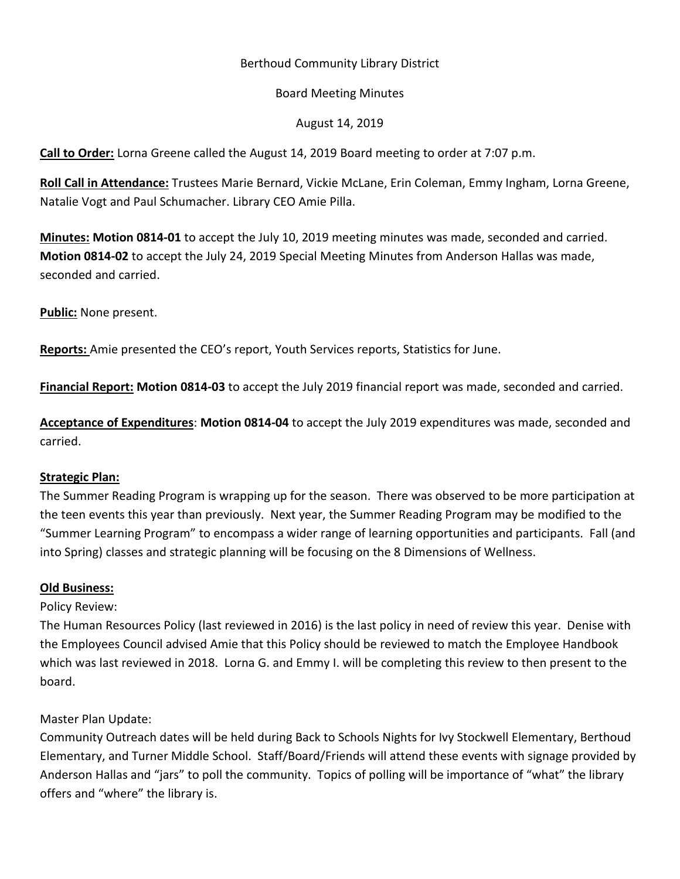# Berthoud Community Library District

#### Board Meeting Minutes

#### August 14, 2019

**Call to Order:** Lorna Greene called the August 14, 2019 Board meeting to order at 7:07 p.m.

**Roll Call in Attendance:** Trustees Marie Bernard, Vickie McLane, Erin Coleman, Emmy Ingham, Lorna Greene, Natalie Vogt and Paul Schumacher. Library CEO Amie Pilla.

**Minutes: Motion 0814-01** to accept the July 10, 2019 meeting minutes was made, seconded and carried. **Motion 0814-02** to accept the July 24, 2019 Special Meeting Minutes from Anderson Hallas was made, seconded and carried.

**Public:** None present.

**Reports:** Amie presented the CEO's report, Youth Services reports, Statistics for June.

**Financial Report: Motion 0814-03** to accept the July 2019 financial report was made, seconded and carried.

**Acceptance of Expenditures**: **Motion 0814-04** to accept the July 2019 expenditures was made, seconded and carried.

# **Strategic Plan:**

The Summer Reading Program is wrapping up for the season. There was observed to be more participation at the teen events this year than previously. Next year, the Summer Reading Program may be modified to the "Summer Learning Program" to encompass a wider range of learning opportunities and participants. Fall (and into Spring) classes and strategic planning will be focusing on the 8 Dimensions of Wellness.

# **Old Business:**

# Policy Review:

The Human Resources Policy (last reviewed in 2016) is the last policy in need of review this year. Denise with the Employees Council advised Amie that this Policy should be reviewed to match the Employee Handbook which was last reviewed in 2018. Lorna G. and Emmy I. will be completing this review to then present to the board.

# Master Plan Update:

Community Outreach dates will be held during Back to Schools Nights for Ivy Stockwell Elementary, Berthoud Elementary, and Turner Middle School. Staff/Board/Friends will attend these events with signage provided by Anderson Hallas and "jars" to poll the community. Topics of polling will be importance of "what" the library offers and "where" the library is.